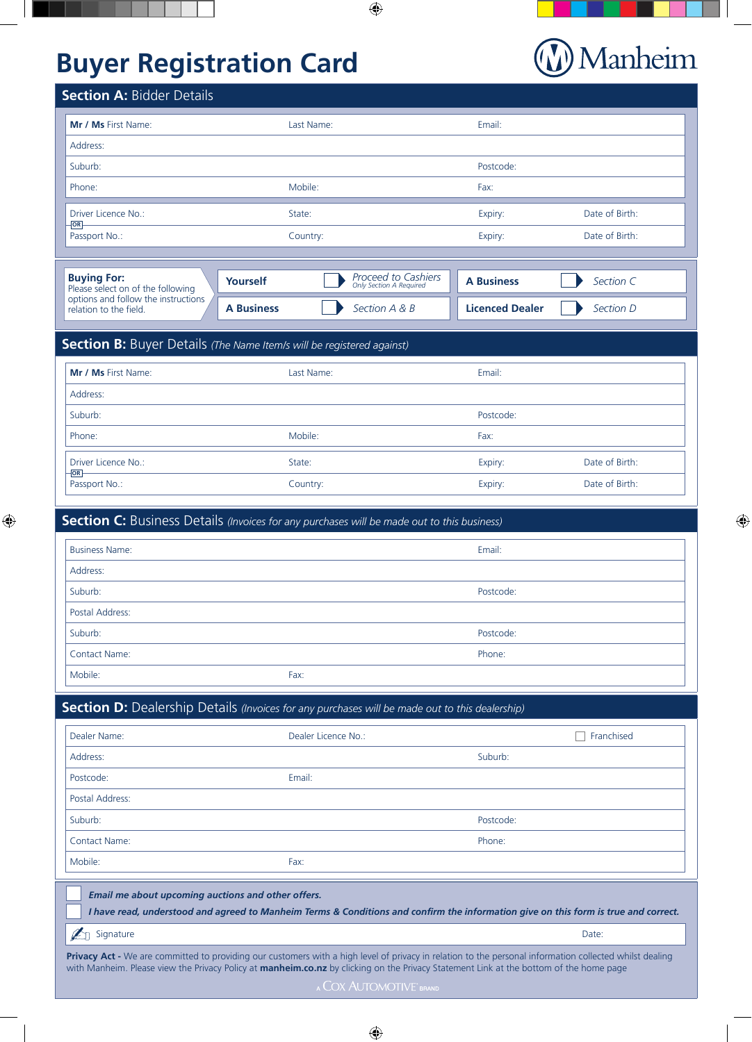# **Buyer Registration Card**

# (V) Manheim

 $\bigoplus$ 

| <b>Section A: Bidder Details</b>                                    |                                                       |                   |                |
|---------------------------------------------------------------------|-------------------------------------------------------|-------------------|----------------|
| Mr / Ms First Name:                                                 | Last Name:                                            | Email:            |                |
| Address:                                                            |                                                       |                   |                |
| Suburb:                                                             |                                                       | Postcode:         |                |
| Phone:                                                              | Mobile:                                               | Fax:              |                |
| Driver Licence No.:                                                 | State:                                                | Expiry:           | Date of Birth: |
| $OR -$<br>Passport No.:                                             | Country:                                              | Expiry:           | Date of Birth: |
|                                                                     |                                                       |                   |                |
| <b>Buying For:</b><br>Yourself<br>Please select on of the following | <b>Proceed to Cashiers</b><br>Only Section A Required | <b>A Business</b> | Section C      |

 $\bigoplus$ 

**A Business** *Section A & B* **Licenced Dealer** *Section D*

options and follow the instructions

relation to the field.

## **Section B:** Buyer Details *(The Name Item/s will be registered against)* **Mr / Ms** First Name: Last Name: Email: Address: Suburb: Postcode: Phone: Mobile: Fax: Driver Licence No.: State: State: State: Expiry: State: Date of Birth: Date of Birth: Passport No.: Country: Expiry: Date of Birth: **OR**

 $\bigoplus$ 

| <b>Section C:</b> Business Details (Invoices for any purchases will be made out to this business) |           |  |  |
|---------------------------------------------------------------------------------------------------|-----------|--|--|
| <b>Business Name:</b>                                                                             | Email:    |  |  |
| Address:                                                                                          |           |  |  |
| Suburb:                                                                                           | Postcode: |  |  |
| Postal Address:                                                                                   |           |  |  |
| Suburb:                                                                                           | Postcode: |  |  |
| <b>Contact Name:</b>                                                                              | Phone:    |  |  |
| Mobile:                                                                                           | Fax:      |  |  |

**Section D:** Dealership Details *(Invoices for any purchases will be made out to this dealership)* 

| Dealer Name:         | Dealer Licence No.: | Franchised |
|----------------------|---------------------|------------|
| Address:             |                     | Suburb:    |
| Postcode:            | Email:              |            |
| Postal Address:      |                     |            |
| Suburb:              |                     | Postcode:  |
| <b>Contact Name:</b> |                     | Phone:     |
| Mobile:              | Fax:                |            |

 *Email me about upcoming auctions and other offers.*

 *I have read, understood and agreed to Manheim Terms & Conditions and confirm the information give on this form is true and correct.*  $\mathscr{L}_{\Box}$  Signature Date:

Privacy Act - We are committed to providing our customers with a high level of privacy in relation to the personal information collected whilst dealing with Manheim. Please view the Privacy Policy at **manheim.co.nz** by clicking on the Privacy Statement Link at the bottom of the home page

 $\bigoplus$